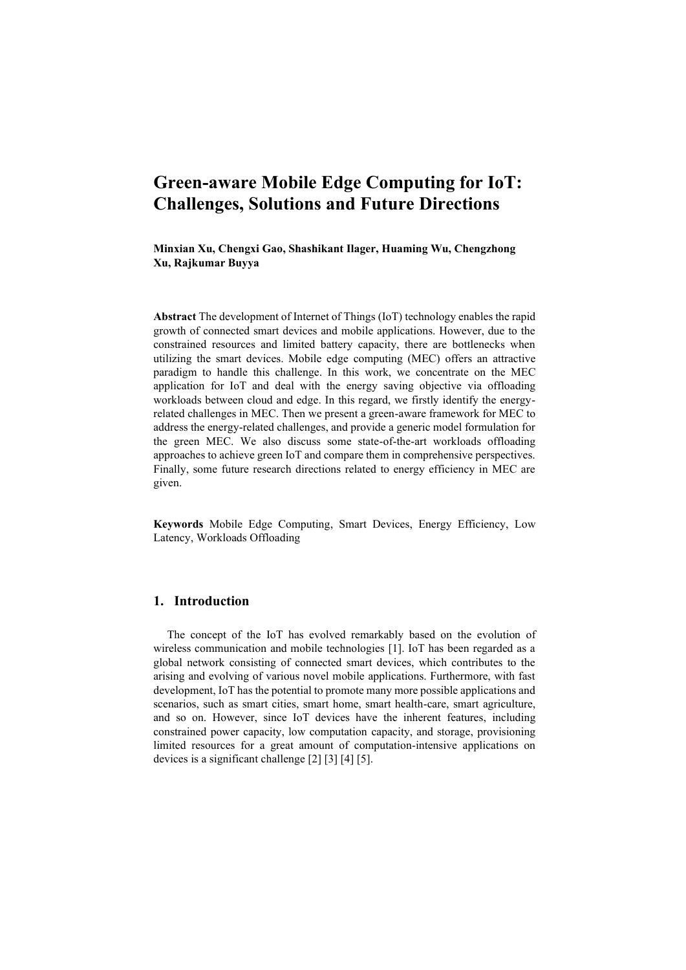# **Green-aware Mobile Edge Computing for IoT: Challenges, Solutions and Future Directions**

**Minxian Xu, Chengxi Gao, Shashikant Ilager, Huaming Wu, Chengzhong Xu, Rajkumar Buyya**

**Abstract** The development of Internet of Things (IoT) technology enables the rapid growth of connected smart devices and mobile applications. However, due to the constrained resources and limited battery capacity, there are bottlenecks when utilizing the smart devices. Mobile edge computing (MEC) offers an attractive paradigm to handle this challenge. In this work, we concentrate on the MEC application for IoT and deal with the energy saving objective via offloading workloads between cloud and edge. In this regard, we firstly identify the energyrelated challenges in MEC. Then we present a green-aware framework for MEC to address the energy-related challenges, and provide a generic model formulation for the green MEC. We also discuss some state-of-the-art workloads offloading approaches to achieve green IoT and compare them in comprehensive perspectives. Finally, some future research directions related to energy efficiency in MEC are given.

**Keywords** Mobile Edge Computing, Smart Devices, Energy Efficiency, Low Latency, Workloads Offloading

# **1. Introduction**

The concept of the IoT has evolved remarkably based on the evolution of wireless communication and mobile technologies [1]. IoT has been regarded as a global network consisting of connected smart devices, which contributes to the arising and evolving of various novel mobile applications. Furthermore, with fast development, IoT has the potential to promote many more possible applications and scenarios, such as smart cities, smart home, smart health-care, smart agriculture, and so on. However, since IoT devices have the inherent features, including constrained power capacity, low computation capacity, and storage, provisioning limited resources for a great amount of computation-intensive applications on devices is a significant challenge [2] [3] [4] [5].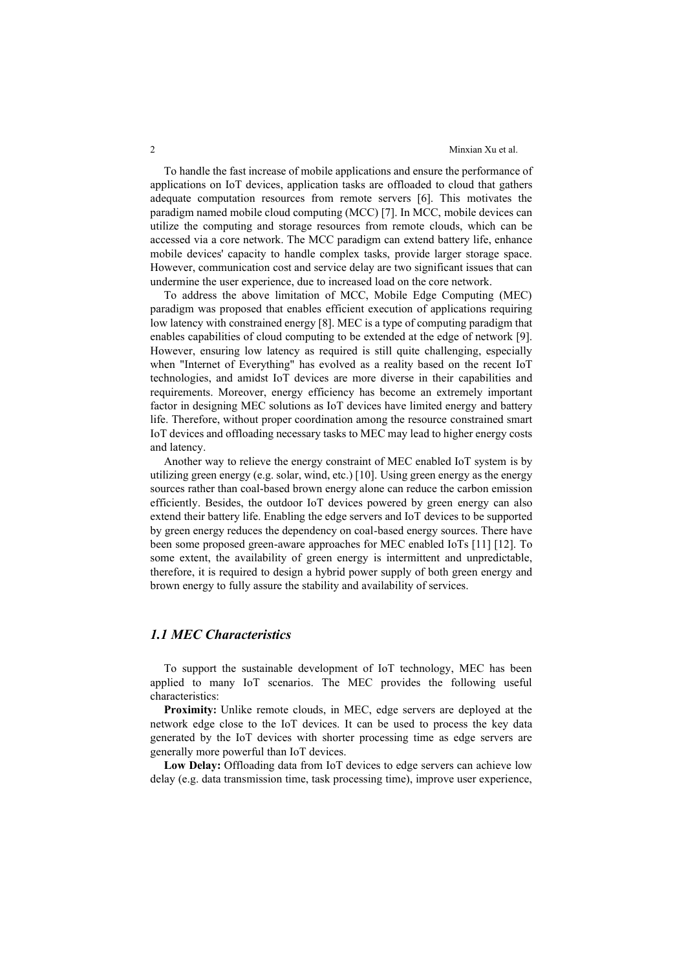#### 2 Minxian Xu et al.

To handle the fast increase of mobile applications and ensure the performance of applications on IoT devices, application tasks are offloaded to cloud that gathers adequate computation resources from remote servers [6]. This motivates the paradigm named mobile cloud computing (MCC) [7]. In MCC, mobile devices can utilize the computing and storage resources from remote clouds, which can be accessed via a core network. The MCC paradigm can extend battery life, enhance mobile devices' capacity to handle complex tasks, provide larger storage space. However, communication cost and service delay are two significant issues that can undermine the user experience, due to increased load on the core network.

To address the above limitation of MCC, Mobile Edge Computing (MEC) paradigm was proposed that enables efficient execution of applications requiring low latency with constrained energy [8]. MEC is a type of computing paradigm that enables capabilities of cloud computing to be extended at the edge of network [9]. However, ensuring low latency as required is still quite challenging, especially when "Internet of Everything" has evolved as a reality based on the recent IoT technologies, and amidst IoT devices are more diverse in their capabilities and requirements. Moreover, energy efficiency has become an extremely important factor in designing MEC solutions as IoT devices have limited energy and battery life. Therefore, without proper coordination among the resource constrained smart IoT devices and offloading necessary tasks to MEC may lead to higher energy costs and latency.

Another way to relieve the energy constraint of MEC enabled IoT system is by utilizing green energy (e.g. solar, wind, etc.) [10]. Using green energy as the energy sources rather than coal-based brown energy alone can reduce the carbon emission efficiently. Besides, the outdoor IoT devices powered by green energy can also extend their battery life. Enabling the edge servers and IoT devices to be supported by green energy reduces the dependency on coal-based energy sources. There have been some proposed green-aware approaches for MEC enabled IoTs [11] [12]. To some extent, the availability of green energy is intermittent and unpredictable, therefore, it is required to design a hybrid power supply of both green energy and brown energy to fully assure the stability and availability of services.

#### *1.1 MEC Characteristics*

To support the sustainable development of IoT technology, MEC has been applied to many IoT scenarios. The MEC provides the following useful characteristics:

**Proximity:** Unlike remote clouds, in MEC, edge servers are deployed at the network edge close to the IoT devices. It can be used to process the key data generated by the IoT devices with shorter processing time as edge servers are generally more powerful than IoT devices.

**Low Delay:** Offloading data from IoT devices to edge servers can achieve low delay (e.g. data transmission time, task processing time), improve user experience,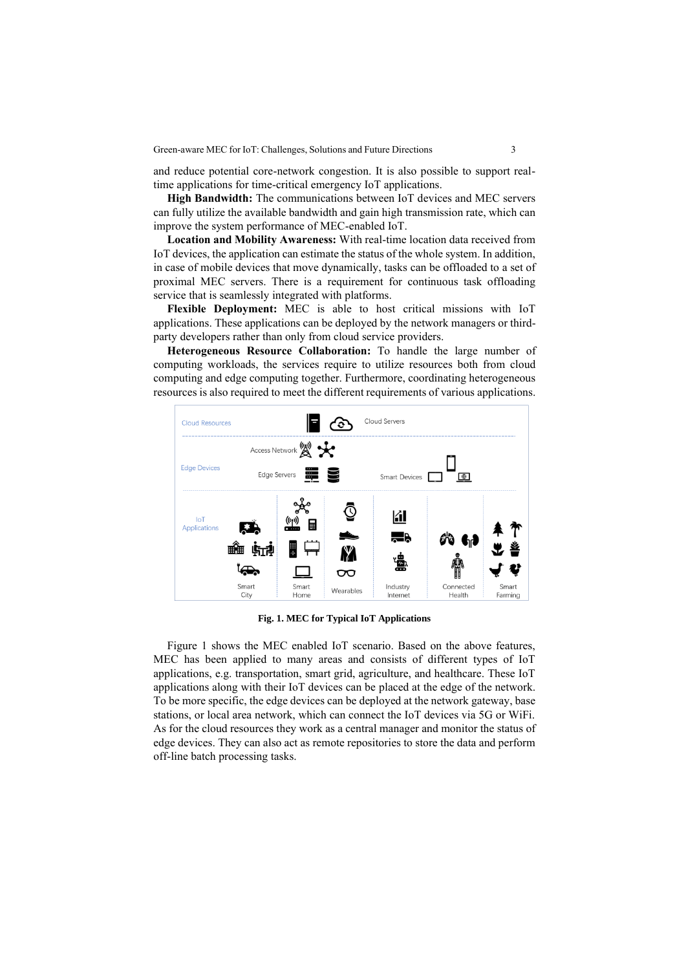and reduce potential core-network congestion. It is also possible to support realtime applications for time-critical emergency IoT applications.

**High Bandwidth:** The communications between IoT devices and MEC servers can fully utilize the available bandwidth and gain high transmission rate, which can improve the system performance of MEC-enabled IoT.

**Location and Mobility Awareness:** With real-time location data received from IoT devices, the application can estimate the status of the whole system. In addition, in case of mobile devices that move dynamically, tasks can be offloaded to a set of proximal MEC servers. There is a requirement for continuous task offloading service that is seamlessly integrated with platforms.

**Flexible Deployment:** MEC is able to host critical missions with IoT applications. These applications can be deployed by the network managers or thirdparty developers rather than only from cloud service providers.

**Heterogeneous Resource Collaboration:** To handle the large number of computing workloads, the services require to utilize resources both from cloud computing and edge computing together. Furthermore, coordinating heterogeneous resources is also required to meet the different requirements of various applications.



**Fig. 1. MEC for Typical IoT Applications**

Figure 1 shows the MEC enabled IoT scenario. Based on the above features, MEC has been applied to many areas and consists of different types of IoT applications, e.g. transportation, smart grid, agriculture, and healthcare. These IoT applications along with their IoT devices can be placed at the edge of the network. To be more specific, the edge devices can be deployed at the network gateway, base stations, or local area network, which can connect the IoT devices via 5G or WiFi. As for the cloud resources they work as a central manager and monitor the status of edge devices. They can also act as remote repositories to store the data and perform off-line batch processing tasks.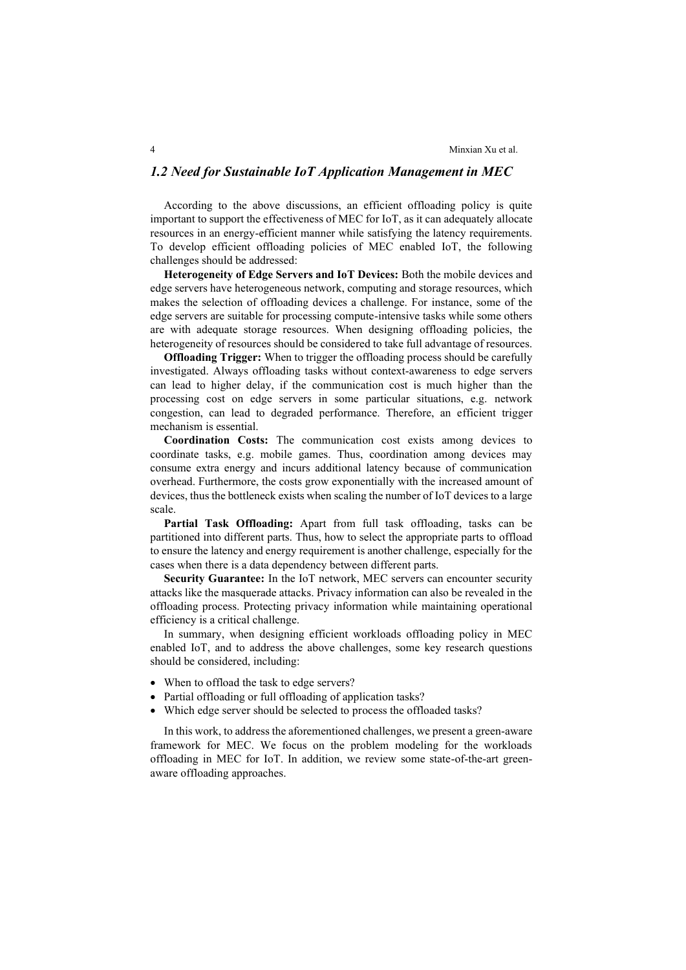# *1.2 Need for Sustainable IoT Application Management in MEC*

According to the above discussions, an efficient offloading policy is quite important to support the effectiveness of MEC for IoT, as it can adequately allocate resources in an energy-efficient manner while satisfying the latency requirements. To develop efficient offloading policies of MEC enabled IoT, the following challenges should be addressed:

**Heterogeneity of Edge Servers and IoT Devices:** Both the mobile devices and edge servers have heterogeneous network, computing and storage resources, which makes the selection of offloading devices a challenge. For instance, some of the edge servers are suitable for processing compute-intensive tasks while some others are with adequate storage resources. When designing offloading policies, the heterogeneity of resources should be considered to take full advantage of resources.

**Offloading Trigger:** When to trigger the offloading process should be carefully investigated. Always offloading tasks without context-awareness to edge servers can lead to higher delay, if the communication cost is much higher than the processing cost on edge servers in some particular situations, e.g. network congestion, can lead to degraded performance. Therefore, an efficient trigger mechanism is essential.

**Coordination Costs:** The communication cost exists among devices to coordinate tasks, e.g. mobile games. Thus, coordination among devices may consume extra energy and incurs additional latency because of communication overhead. Furthermore, the costs grow exponentially with the increased amount of devices, thus the bottleneck exists when scaling the number of IoT devices to a large scale.

**Partial Task Offloading:** Apart from full task offloading, tasks can be partitioned into different parts. Thus, how to select the appropriate parts to offload to ensure the latency and energy requirement is another challenge, especially for the cases when there is a data dependency between different parts.

**Security Guarantee:** In the IoT network, MEC servers can encounter security attacks like the masquerade attacks. Privacy information can also be revealed in the offloading process. Protecting privacy information while maintaining operational efficiency is a critical challenge.

In summary, when designing efficient workloads offloading policy in MEC enabled IoT, and to address the above challenges, some key research questions should be considered, including:

- When to offload the task to edge servers?
- Partial offloading or full offloading of application tasks?
- Which edge server should be selected to process the offloaded tasks?

In this work, to address the aforementioned challenges, we present a green-aware framework for MEC. We focus on the problem modeling for the workloads offloading in MEC for IoT. In addition, we review some state-of-the-art greenaware offloading approaches.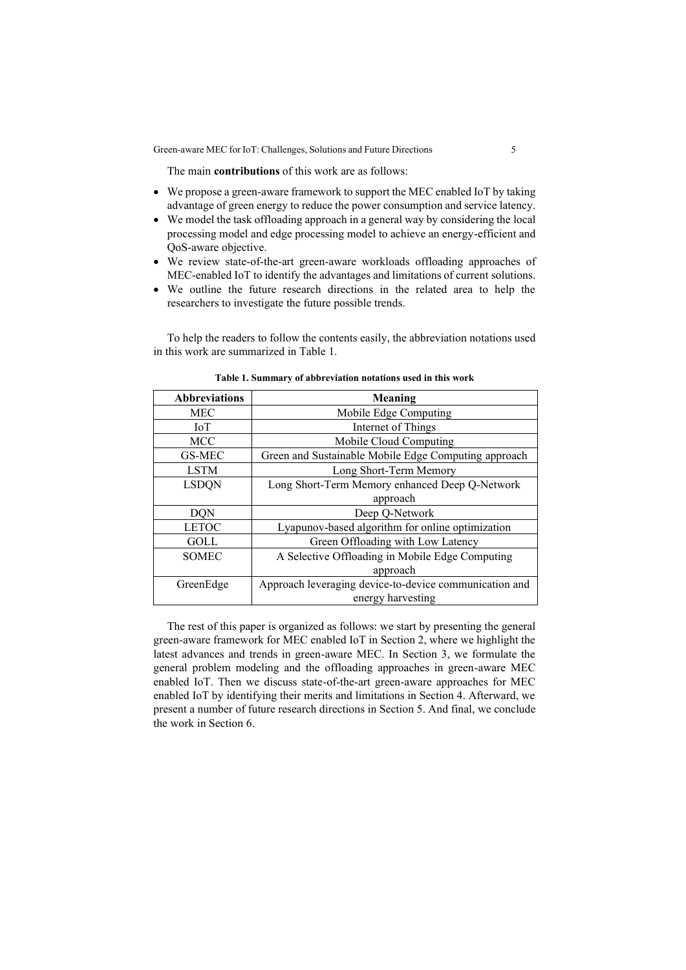The main **contributions** of this work are as follows:

- We propose a green-aware framework to support the MEC enabled IoT by taking advantage of green energy to reduce the power consumption and service latency.
- We model the task offloading approach in a general way by considering the local processing model and edge processing model to achieve an energy-efficient and QoS-aware objective.
- We review state-of-the-art green-aware workloads offloading approaches of MEC-enabled IoT to identify the advantages and limitations of current solutions.
- We outline the future research directions in the related area to help the researchers to investigate the future possible trends.

To help the readers to follow the contents easily, the abbreviation notations used in this work are summarized in Table 1.

| <b>Abbreviations</b> | Meaning                                                |  |  |  |  |
|----------------------|--------------------------------------------------------|--|--|--|--|
| <b>MEC</b>           | Mobile Edge Computing                                  |  |  |  |  |
| <b>IoT</b>           | Internet of Things                                     |  |  |  |  |
| <b>MCC</b>           | Mobile Cloud Computing                                 |  |  |  |  |
| GS-MEC               | Green and Sustainable Mobile Edge Computing approach   |  |  |  |  |
| <b>LSTM</b>          | Long Short-Term Memory                                 |  |  |  |  |
| <b>LSDQN</b>         | Long Short-Term Memory enhanced Deep Q-Network         |  |  |  |  |
|                      | approach                                               |  |  |  |  |
| DON                  | Deep Q-Network                                         |  |  |  |  |
| <b>LETOC</b>         | Lyapunov-based algorithm for online optimization       |  |  |  |  |
| <b>GOLL</b>          | Green Offloading with Low Latency                      |  |  |  |  |
| <b>SOMEC</b>         | A Selective Offloading in Mobile Edge Computing        |  |  |  |  |
|                      | approach                                               |  |  |  |  |
| GreenEdge            | Approach leveraging device-to-device communication and |  |  |  |  |
|                      | energy harvesting                                      |  |  |  |  |

**Table 1. Summary of abbreviation notations used in this work**

The rest of this paper is organized as follows: we start by presenting the general green-aware framework for MEC enabled IoT in Section 2, where we highlight the latest advances and trends in green-aware MEC. In Section 3, we formulate the general problem modeling and the offloading approaches in green-aware MEC enabled IoT. Then we discuss state-of-the-art green-aware approaches for MEC enabled IoT by identifying their merits and limitations in Section 4. Afterward, we present a number of future research directions in Section 5. And final, we conclude the work in Section 6.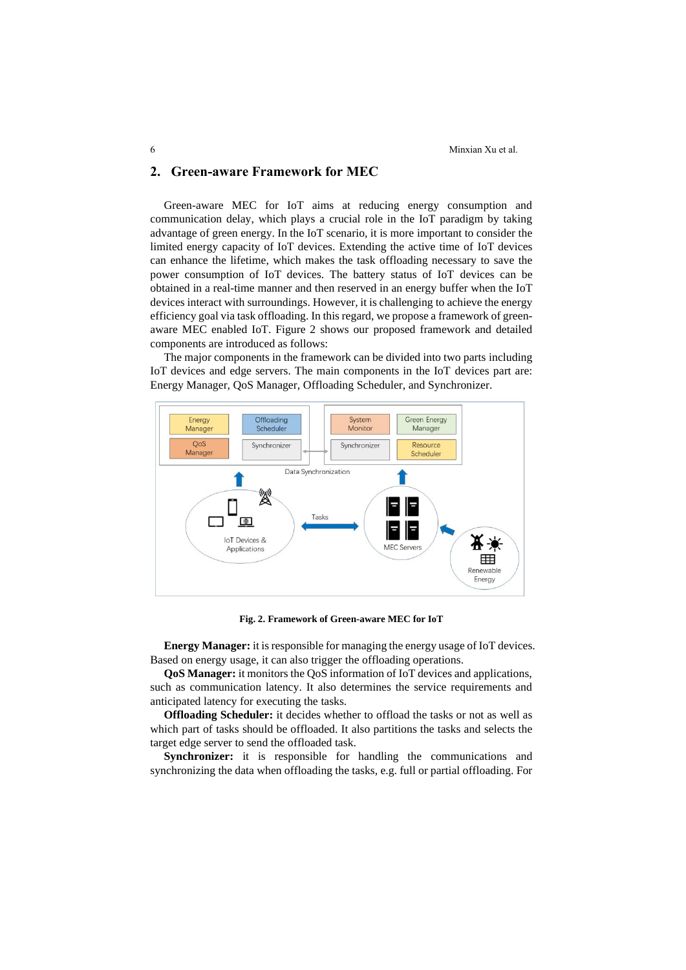## **2. Green-aware Framework for MEC**

Green-aware MEC for IoT aims at reducing energy consumption and communication delay, which plays a crucial role in the IoT paradigm by taking advantage of green energy. In the IoT scenario, it is more important to consider the limited energy capacity of IoT devices. Extending the active time of IoT devices can enhance the lifetime, which makes the task offloading necessary to save the power consumption of IoT devices. The battery status of IoT devices can be obtained in a real-time manner and then reserved in an energy buffer when the IoT devices interact with surroundings. However, it is challenging to achieve the energy efficiency goal via task offloading. In this regard, we propose a framework of greenaware MEC enabled IoT. Figure 2 shows our proposed framework and detailed components are introduced as follows:

The major components in the framework can be divided into two parts including IoT devices and edge servers. The main components in the IoT devices part are: Energy Manager, QoS Manager, Offloading Scheduler, and Synchronizer.



**Fig. 2. Framework of Green-aware MEC for IoT**

**Energy Manager:** it is responsible for managing the energy usage of IoT devices. Based on energy usage, it can also trigger the offloading operations.

**QoS Manager:** it monitors the QoS information of IoT devices and applications, such as communication latency. It also determines the service requirements and anticipated latency for executing the tasks.

**Offloading Scheduler:** it decides whether to offload the tasks or not as well as which part of tasks should be offloaded. It also partitions the tasks and selects the target edge server to send the offloaded task.

**Synchronizer:** it is responsible for handling the communications and synchronizing the data when offloading the tasks, e.g. full or partial offloading. For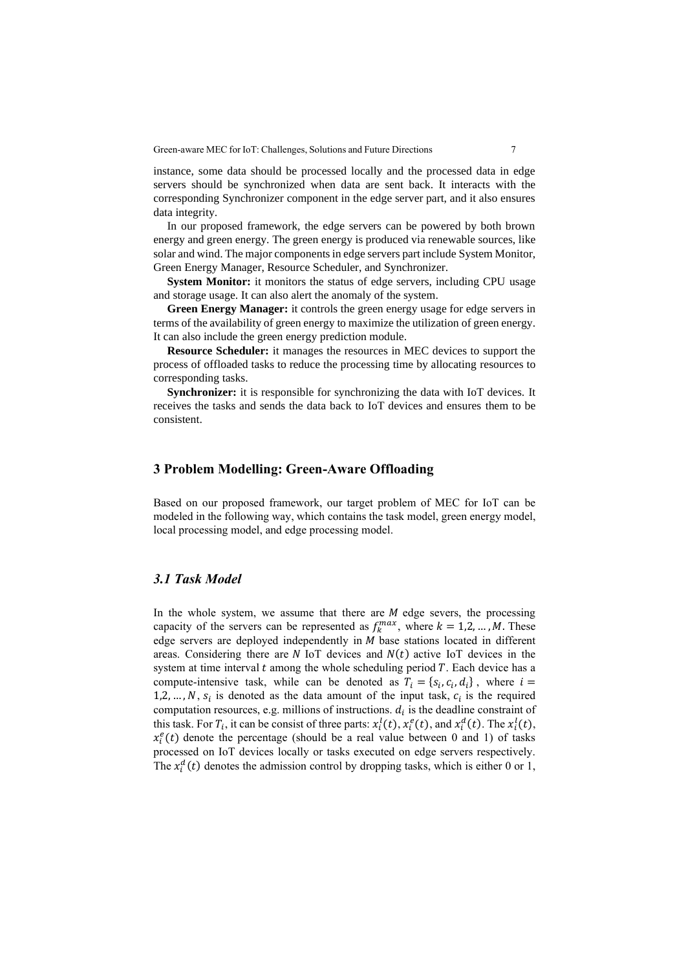instance, some data should be processed locally and the processed data in edge servers should be synchronized when data are sent back. It interacts with the corresponding Synchronizer component in the edge server part, and it also ensures data integrity.

In our proposed framework, the edge servers can be powered by both brown energy and green energy. The green energy is produced via renewable sources, like solar and wind. The major components in edge servers part include System Monitor, Green Energy Manager, Resource Scheduler, and Synchronizer.

**System Monitor:** it monitors the status of edge servers, including CPU usage and storage usage. It can also alert the anomaly of the system.

**Green Energy Manager:** it controls the green energy usage for edge servers in terms of the availability of green energy to maximize the utilization of green energy. It can also include the green energy prediction module.

**Resource Scheduler:** it manages the resources in MEC devices to support the process of offloaded tasks to reduce the processing time by allocating resources to corresponding tasks.

**Synchronizer:** it is responsible for synchronizing the data with IoT devices. It receives the tasks and sends the data back to IoT devices and ensures them to be consistent.

## **3 Problem Modelling: Green-Aware Offloading**

Based on our proposed framework, our target problem of MEC for IoT can be modeled in the following way, which contains the task model, green energy model, local processing model, and edge processing model.

#### *3.1 Task Model*

In the whole system, we assume that there are  $M$  edge severs, the processing capacity of the servers can be represented as  $f_k^{max}$ , where  $k = 1, 2, ..., M$ . These edge servers are deployed independently in  $M$  base stations located in different areas. Considering there are  $N$  IoT devices and  $N(t)$  active IoT devices in the system at time interval  $t$  among the whole scheduling period  $T$ . Each device has a compute-intensive task, while can be denoted as  $T_i = \{s_i, c_i, d_i\}$ , where  $i =$ 1,2, ..., N,  $s_i$  is denoted as the data amount of the input task,  $c_i$  is the required computation resources, e.g. millions of instructions.  $d_i$  is the deadline constraint of this task. For  $T_i$ , it can be consist of three parts:  $x_i^l(t)$ ,  $x_i^e(t)$ , and  $x_i^d(t)$ . The  $x_i^l(t)$ ,  $x_i^e(t)$  denote the percentage (should be a real value between 0 and 1) of tasks processed on IoT devices locally or tasks executed on edge servers respectively. The  $x_i^d(t)$  denotes the admission control by dropping tasks, which is either 0 or 1,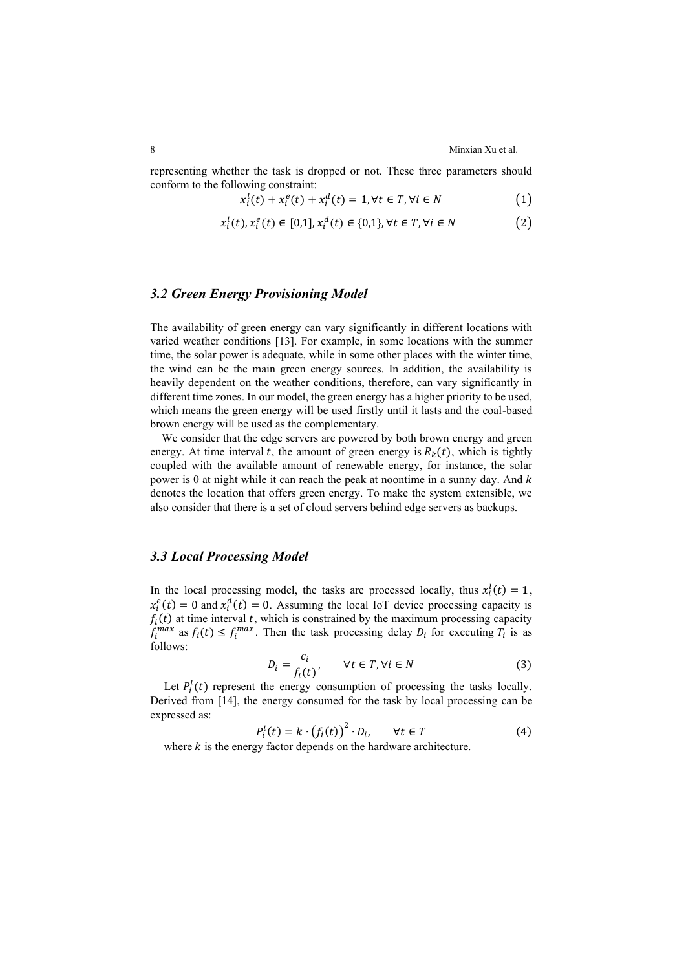representing whether the task is dropped or not. These three parameters should conform to the following constraint:

$$
x_i^l(t) + x_i^e(t) + x_i^d(t) = 1, \forall t \in T, \forall i \in N
$$
\n(1)

$$
x_i^l(t), x_i^e(t) \in [0,1], x_i^d(t) \in \{0,1\}, \forall t \in T, \forall i \in N
$$
 (2)

#### *3.2 Green Energy Provisioning Model*

 $\ddot{\phantom{a}}$ 

The availability of green energy can vary significantly in different locations with varied weather conditions [13]. For example, in some locations with the summer time, the solar power is adequate, while in some other places with the winter time, the wind can be the main green energy sources. In addition, the availability is heavily dependent on the weather conditions, therefore, can vary significantly in different time zones. In our model, the green energy has a higher priority to be used, which means the green energy will be used firstly until it lasts and the coal-based brown energy will be used as the complementary.

We consider that the edge servers are powered by both brown energy and green energy. At time interval t, the amount of green energy is  $R_k(t)$ , which is tightly coupled with the available amount of renewable energy, for instance, the solar power is 0 at night while it can reach the peak at noontime in a sunny day. And  $k$ denotes the location that offers green energy. To make the system extensible, we also consider that there is a set of cloud servers behind edge servers as backups.

#### *3.3 Local Processing Model*

In the local processing model, the tasks are processed locally, thus  $x_i^l(t) = 1$ ,  $x_i^e(t) = 0$  and  $x_i^d(t) = 0$ . Assuming the local IoT device processing capacity is  $f_i(t)$  at time interval t, which is constrained by the maximum processing capacity  $f_i^{max}$  as  $f_i(t) \leq f_i^{max}$ . Then the task processing delay  $D_i$  for executing  $T_i$  is as follows:

$$
D_i = \frac{c_i}{f_i(t)}, \qquad \forall t \in T, \forall i \in N
$$
 (3)

Let  $P_i^l(t)$  represent the energy consumption of processing the tasks locally. Derived from [14], the energy consumed for the task by local processing can be expressed as:

$$
P_i^l(t) = k \cdot (f_i(t))^2 \cdot D_i, \qquad \forall t \in T
$$
 (4)

where  $k$  is the energy factor depends on the hardware architecture.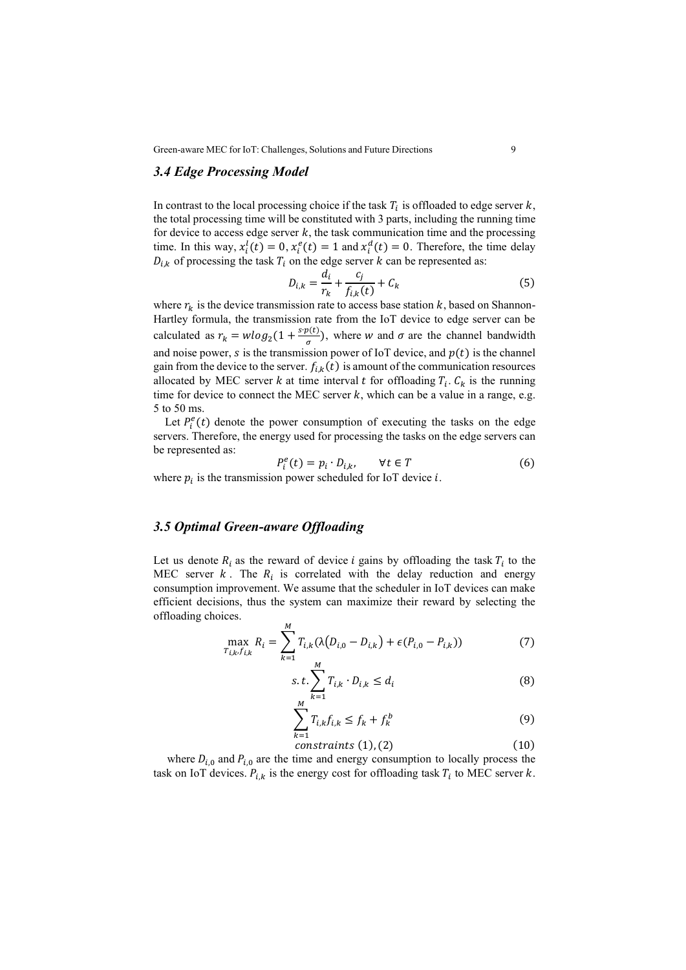## *3.4 Edge Processing Model*

In contrast to the local processing choice if the task  $T_i$  is offloaded to edge server  $k$ , the total processing time will be constituted with 3 parts, including the running time for device to access edge server  $k$ , the task communication time and the processing time. In this way,  $x_i^l(t) = 0$ ,  $x_i^e(t) = 1$  and  $x_i^d(t) = 0$ . Therefore, the time delay  $D_{i,k}$  of processing the task  $T_i$  on the edge server k can be represented as:

$$
D_{i,k} = \frac{d_i}{r_k} + \frac{c_j}{f_{i,k}(t)} + C_k
$$
 (5)

where  $r_k$  is the device transmission rate to access base station k, based on Shannon-Hartley formula, the transmission rate from the IoT device to edge server can be calculated as  $r_k = w \log_2(1 + \frac{s \cdot p(t)}{\sigma})$  $\frac{\partial(u)}{\partial u}$ , where *w* and  $\sigma$  are the channel bandwidth and noise power, s is the transmission power of IoT device, and  $p(t)$  is the channel gain from the device to the server.  $f_{i,k}(t)$  is amount of the communication resources allocated by MEC server k at time interval t for offloading  $T_i$ .  $C_k$  is the running time for device to connect the MEC server  $k$ , which can be a value in a range, e.g. 5 to 50 ms.

Let  $P_i^e(t)$  denote the power consumption of executing the tasks on the edge servers. Therefore, the energy used for processing the tasks on the edge servers can be represented as:

$$
P_i^e(t) = p_i \cdot D_{i,k}, \qquad \forall t \in T
$$
 (6)

where  $p_i$  is the transmission power scheduled for IoT device *i*.

# *3.5 Optimal Green-aware Offloading*

Let us denote  $R_i$  as the reward of device i gains by offloading the task  $T_i$  to the MEC server  $k$ . The  $R_i$  is correlated with the delay reduction and energy consumption improvement. We assume that the scheduler in IoT devices can make efficient decisions, thus the system can maximize their reward by selecting the offloading choices.

$$
\max_{T_{i,k}, f_{i,k}} R_i = \sum_{k=1}^{M} T_{i,k} (\lambda (D_{i,0} - D_{i,k}) + \epsilon (P_{i,0} - P_{i,k}))
$$
(7)

$$
s. t. \sum_{k=1}^{M} T_{i,k} \cdot D_{i,k} \le d_i
$$
 (8)

$$
\sum_{k=1}^{M} T_{i,k} f_{i,k} \le f_k + f_k^b \tag{9}
$$

$$
constraints (1), (2) \t(10)
$$

where  $D_{i,0}$  and  $P_{i,0}$  are the time and energy consumption to locally process the task on IoT devices.  $P_{i,k}$  is the energy cost for offloading task  $T_i$  to MEC server k.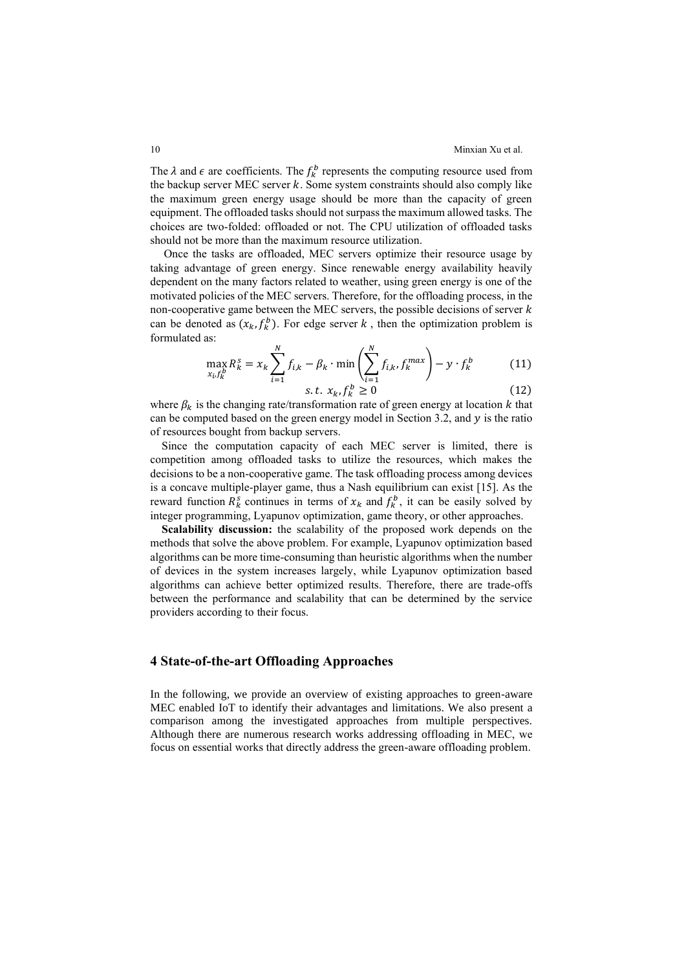The  $\lambda$  and  $\epsilon$  are coefficients. The  $f_k^b$  represents the computing resource used from the backup server MEC server  $k$ . Some system constraints should also comply like the maximum green energy usage should be more than the capacity of green equipment. The offloaded tasks should not surpass the maximum allowed tasks. The choices are two-folded: offloaded or not. The CPU utilization of offloaded tasks should not be more than the maximum resource utilization.

Once the tasks are offloaded, MEC servers optimize their resource usage by taking advantage of green energy. Since renewable energy availability heavily dependent on the many factors related to weather, using green energy is one of the motivated policies of the MEC servers. Therefore, for the offloading process, in the non-cooperative game between the MEC servers, the possible decisions of server  $k$ can be denoted as  $(x_k, f_k^b)$ . For edge server k, then the optimization problem is formulated as:

$$
\max_{x_i, f_k^b} R_k^s = x_k \sum_{i=1}^N f_{i,k} - \beta_k \cdot \min\left(\sum_{i=1}^N f_{i,k}, f_k^{max}\right) - y \cdot f_k^b \tag{11}
$$

$$
s.t. x_k, f_k^b \ge 0 \tag{12}
$$

where  $\beta_k$  is the changing rate/transformation rate of green energy at location k that can be computed based on the green energy model in Section 3.2, and  $y$  is the ratio of resources bought from backup servers.

Since the computation capacity of each MEC server is limited, there is competition among offloaded tasks to utilize the resources, which makes the decisions to be a non-cooperative game. The task offloading process among devices is a concave multiple-player game, thus a Nash equilibrium can exist [15]. As the reward function  $R_k^s$  continues in terms of  $x_k$  and  $f_k^b$ , it can be easily solved by integer programming, Lyapunov optimization, game theory, or other approaches.

**Scalability discussion:** the scalability of the proposed work depends on the methods that solve the above problem. For example, Lyapunov optimization based algorithms can be more time-consuming than heuristic algorithms when the number of devices in the system increases largely, while Lyapunov optimization based algorithms can achieve better optimized results. Therefore, there are trade-offs between the performance and scalability that can be determined by the service providers according to their focus.

## **4 State-of-the-art Offloading Approaches**

In the following, we provide an overview of existing approaches to green-aware MEC enabled IoT to identify their advantages and limitations. We also present a comparison among the investigated approaches from multiple perspectives. Although there are numerous research works addressing offloading in MEC, we focus on essential works that directly address the green-aware offloading problem.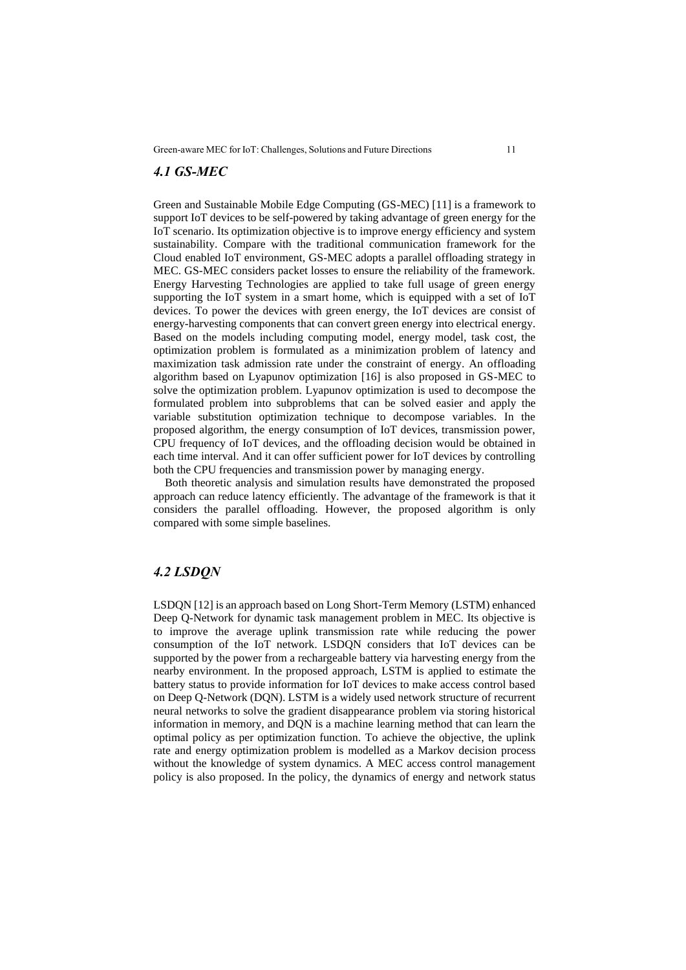# *4.1 GS-MEC*

Green and Sustainable Mobile Edge Computing (GS-MEC) [11] is a framework to support IoT devices to be self-powered by taking advantage of green energy for the IoT scenario. Its optimization objective is to improve energy efficiency and system sustainability. Compare with the traditional communication framework for the Cloud enabled IoT environment, GS-MEC adopts a parallel offloading strategy in MEC. GS-MEC considers packet losses to ensure the reliability of the framework. Energy Harvesting Technologies are applied to take full usage of green energy supporting the IoT system in a smart home, which is equipped with a set of IoT devices. To power the devices with green energy, the IoT devices are consist of energy-harvesting components that can convert green energy into electrical energy. Based on the models including computing model, energy model, task cost, the optimization problem is formulated as a minimization problem of latency and maximization task admission rate under the constraint of energy. An offloading algorithm based on Lyapunov optimization [16] is also proposed in GS-MEC to solve the optimization problem. Lyapunov optimization is used to decompose the formulated problem into subproblems that can be solved easier and apply the variable substitution optimization technique to decompose variables. In the proposed algorithm, the energy consumption of IoT devices, transmission power, CPU frequency of IoT devices, and the offloading decision would be obtained in each time interval. And it can offer sufficient power for IoT devices by controlling both the CPU frequencies and transmission power by managing energy.

Both theoretic analysis and simulation results have demonstrated the proposed approach can reduce latency efficiently. The advantage of the framework is that it considers the parallel offloading. However, the proposed algorithm is only compared with some simple baselines.

#### *4.2 LSDQN*

LSDQN [12] is an approach based on Long Short-Term Memory (LSTM) enhanced Deep Q-Network for dynamic task management problem in MEC. Its objective is to improve the average uplink transmission rate while reducing the power consumption of the IoT network. LSDQN considers that IoT devices can be supported by the power from a rechargeable battery via harvesting energy from the nearby environment. In the proposed approach, LSTM is applied to estimate the battery status to provide information for IoT devices to make access control based on Deep Q-Network (DQN). LSTM is a widely used network structure of recurrent neural networks to solve the gradient disappearance problem via storing historical information in memory, and DQN is a machine learning method that can learn the optimal policy as per optimization function. To achieve the objective, the uplink rate and energy optimization problem is modelled as a Markov decision process without the knowledge of system dynamics. A MEC access control management policy is also proposed. In the policy, the dynamics of energy and network status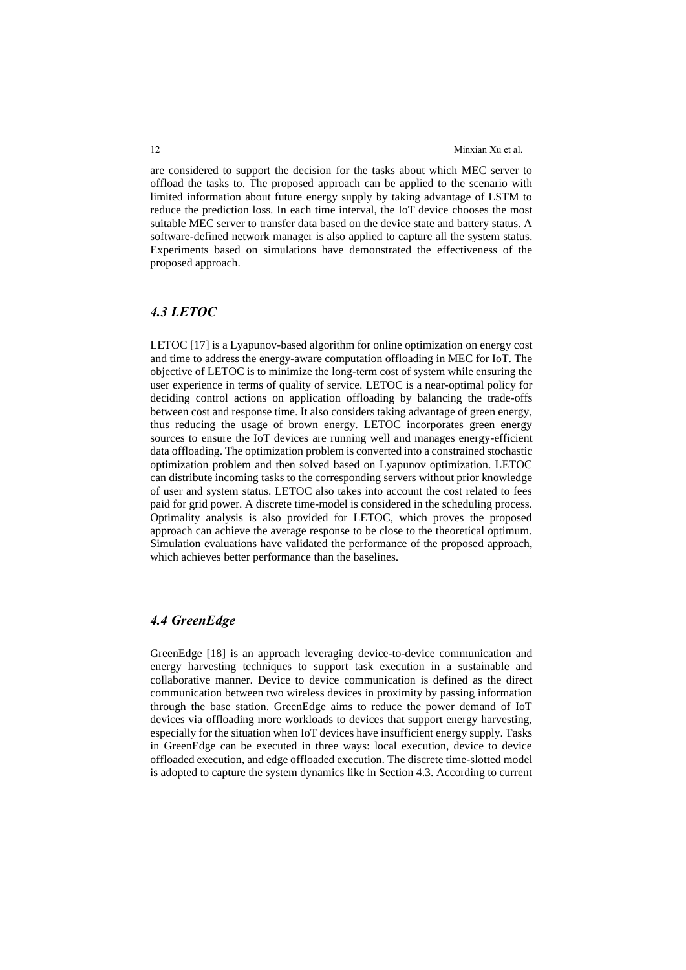are considered to support the decision for the tasks about which MEC server to offload the tasks to. The proposed approach can be applied to the scenario with limited information about future energy supply by taking advantage of LSTM to reduce the prediction loss. In each time interval, the IoT device chooses the most suitable MEC server to transfer data based on the device state and battery status. A software-defined network manager is also applied to capture all the system status. Experiments based on simulations have demonstrated the effectiveness of the proposed approach.

# *4.3 LETOC*

LETOC [17] is a Lyapunov-based algorithm for online optimization on energy cost and time to address the energy-aware computation offloading in MEC for IoT. The objective of LETOC is to minimize the long-term cost of system while ensuring the user experience in terms of quality of service. LETOC is a near-optimal policy for deciding control actions on application offloading by balancing the trade-offs between cost and response time. It also considers taking advantage of green energy, thus reducing the usage of brown energy. LETOC incorporates green energy sources to ensure the IoT devices are running well and manages energy-efficient data offloading. The optimization problem is converted into a constrained stochastic optimization problem and then solved based on Lyapunov optimization. LETOC can distribute incoming tasks to the corresponding servers without prior knowledge of user and system status. LETOC also takes into account the cost related to fees paid for grid power. A discrete time-model is considered in the scheduling process. Optimality analysis is also provided for LETOC, which proves the proposed approach can achieve the average response to be close to the theoretical optimum. Simulation evaluations have validated the performance of the proposed approach, which achieves better performance than the baselines.

# *4.4 GreenEdge*

GreenEdge [18] is an approach leveraging device-to-device communication and energy harvesting techniques to support task execution in a sustainable and collaborative manner. Device to device communication is defined as the direct communication between two wireless devices in proximity by passing information through the base station. GreenEdge aims to reduce the power demand of IoT devices via offloading more workloads to devices that support energy harvesting, especially for the situation when IoT devices have insufficient energy supply. Tasks in GreenEdge can be executed in three ways: local execution, device to device offloaded execution, and edge offloaded execution. The discrete time-slotted model is adopted to capture the system dynamics like in Section 4.3. According to current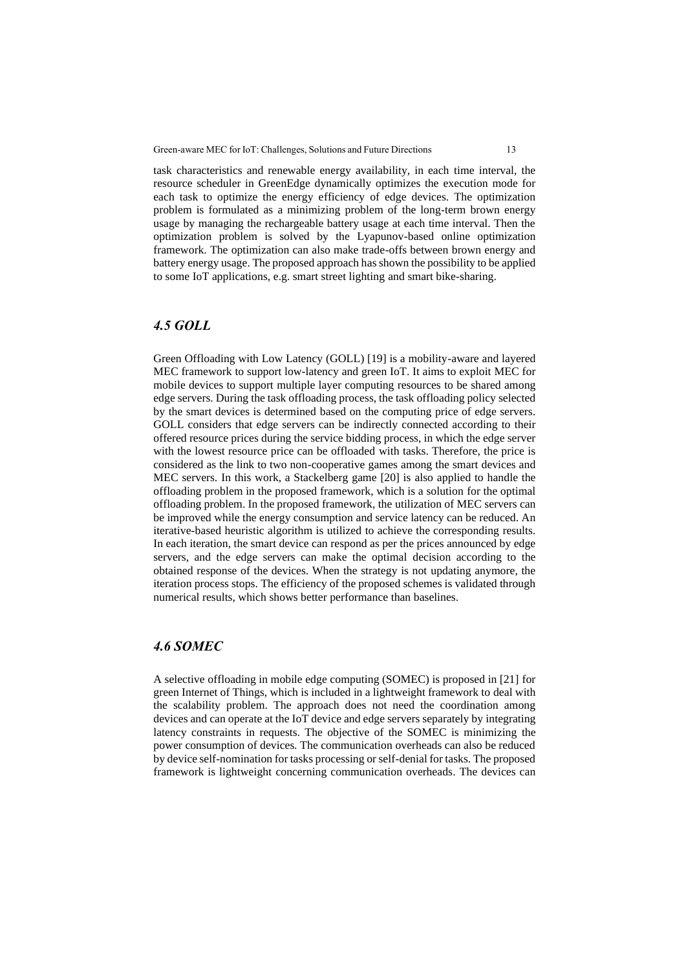task characteristics and renewable energy availability, in each time interval, the resource scheduler in GreenEdge dynamically optimizes the execution mode for each task to optimize the energy efficiency of edge devices. The optimization problem is formulated as a minimizing problem of the long-term brown energy usage by managing the rechargeable battery usage at each time interval. Then the optimization problem is solved by the Lyapunov-based online optimization framework. The optimization can also make trade-offs between brown energy and battery energy usage. The proposed approach has shown the possibility to be applied to some IoT applications, e.g. smart street lighting and smart bike-sharing.

# *4.5 GOLL*

Green Offloading with Low Latency (GOLL) [19] is a mobility-aware and layered MEC framework to support low-latency and green IoT. It aims to exploit MEC for mobile devices to support multiple layer computing resources to be shared among edge servers. During the task offloading process, the task offloading policy selected by the smart devices is determined based on the computing price of edge servers. GOLL considers that edge servers can be indirectly connected according to their offered resource prices during the service bidding process, in which the edge server with the lowest resource price can be offloaded with tasks. Therefore, the price is considered as the link to two non-cooperative games among the smart devices and MEC servers. In this work, a Stackelberg game [20] is also applied to handle the offloading problem in the proposed framework, which is a solution for the optimal offloading problem. In the proposed framework, the utilization of MEC servers can be improved while the energy consumption and service latency can be reduced. An iterative-based heuristic algorithm is utilized to achieve the corresponding results. In each iteration, the smart device can respond as per the prices announced by edge servers, and the edge servers can make the optimal decision according to the obtained response of the devices. When the strategy is not updating anymore, the iteration process stops. The efficiency of the proposed schemes is validated through numerical results, which shows better performance than baselines.

#### *4.6 SOMEC*

A selective offloading in mobile edge computing (SOMEC) is proposed in [21] for green Internet of Things, which is included in a lightweight framework to deal with the scalability problem. The approach does not need the coordination among devices and can operate at the IoT device and edge servers separately by integrating latency constraints in requests. The objective of the SOMEC is minimizing the power consumption of devices. The communication overheads can also be reduced by device self-nomination for tasks processing or self-denial for tasks. The proposed framework is lightweight concerning communication overheads. The devices can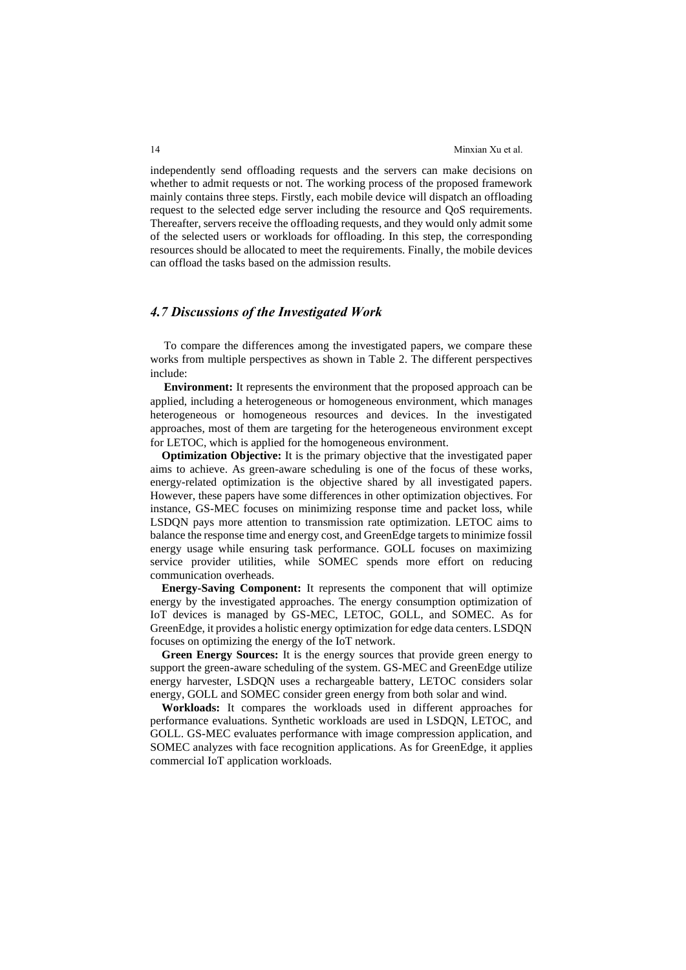independently send offloading requests and the servers can make decisions on whether to admit requests or not. The working process of the proposed framework mainly contains three steps. Firstly, each mobile device will dispatch an offloading request to the selected edge server including the resource and QoS requirements. Thereafter, servers receive the offloading requests, and they would only admit some of the selected users or workloads for offloading. In this step, the corresponding resources should be allocated to meet the requirements. Finally, the mobile devices can offload the tasks based on the admission results.

# *4.7 Discussions of the Investigated Work*

To compare the differences among the investigated papers, we compare these works from multiple perspectives as shown in Table 2. The different perspectives include:

**Environment:** It represents the environment that the proposed approach can be applied, including a heterogeneous or homogeneous environment, which manages heterogeneous or homogeneous resources and devices. In the investigated approaches, most of them are targeting for the heterogeneous environment except for LETOC, which is applied for the homogeneous environment.

**Optimization Objective:** It is the primary objective that the investigated paper aims to achieve. As green-aware scheduling is one of the focus of these works, energy-related optimization is the objective shared by all investigated papers. However, these papers have some differences in other optimization objectives. For instance, GS-MEC focuses on minimizing response time and packet loss, while LSDQN pays more attention to transmission rate optimization. LETOC aims to balance the response time and energy cost, and GreenEdge targets to minimize fossil energy usage while ensuring task performance. GOLL focuses on maximizing service provider utilities, while SOMEC spends more effort on reducing communication overheads.

**Energy-Saving Component:** It represents the component that will optimize energy by the investigated approaches. The energy consumption optimization of IoT devices is managed by GS-MEC, LETOC, GOLL, and SOMEC. As for GreenEdge, it provides a holistic energy optimization for edge data centers. LSDQN focuses on optimizing the energy of the IoT network.

**Green Energy Sources:** It is the energy sources that provide green energy to support the green-aware scheduling of the system. GS-MEC and GreenEdge utilize energy harvester, LSDQN uses a rechargeable battery, LETOC considers solar energy, GOLL and SOMEC consider green energy from both solar and wind.

**Workloads:** It compares the workloads used in different approaches for performance evaluations. Synthetic workloads are used in LSDQN, LETOC, and GOLL. GS-MEC evaluates performance with image compression application, and SOMEC analyzes with face recognition applications. As for GreenEdge, it applies commercial IoT application workloads.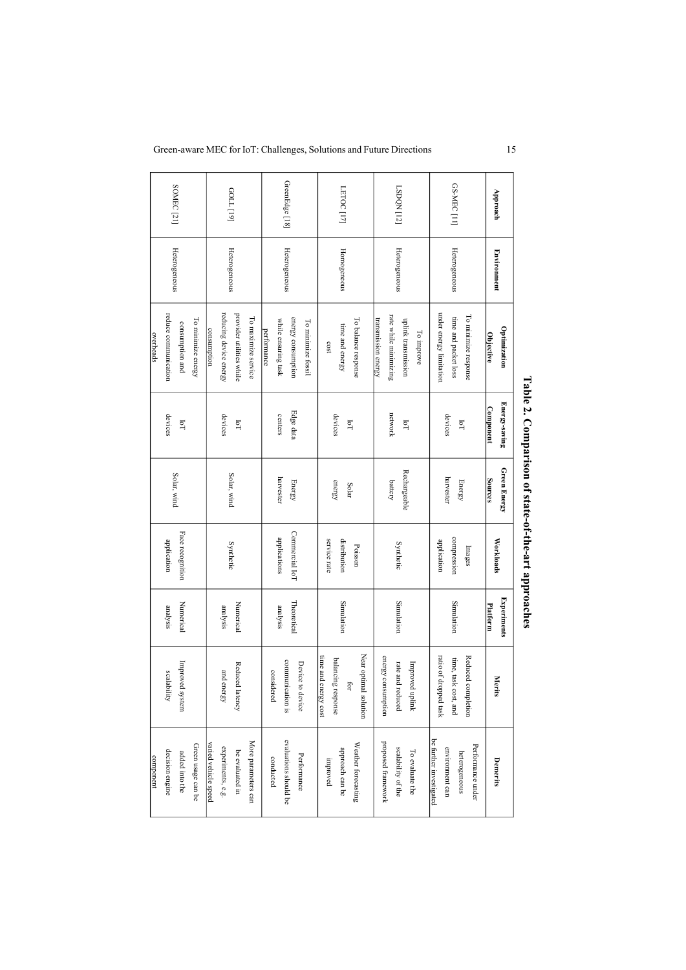| <b>COLL</b> [19]<br>Heterogeneous                       |                                                                                          | GreenEdge [18]<br>Heterogeneous                                                | LETOC[17]<br>Homogeneous                                                   | LSDQN <sub>[12]</sub><br>Heterogeneous                                            | <b>GS-MEC[11]</b><br>Heterogeneous                                               | Approach<br><b>Environment</b>    |
|---------------------------------------------------------|------------------------------------------------------------------------------------------|--------------------------------------------------------------------------------|----------------------------------------------------------------------------|-----------------------------------------------------------------------------------|----------------------------------------------------------------------------------|-----------------------------------|
|                                                         | reducing device energy<br>provider utilities while<br>To maximize service<br>consumption | energy consumption<br>while ensuring task<br>To minimize fossil<br>performance | To balance response<br>time and energy<br>cost                             | rate while minimizing<br>transmission energy<br>uplink transmission<br>To improve | under energy limitation<br>To minimize response<br>time and packet loss          | Optimization<br><u>Objective</u>  |
| ΓoΤ                                                     | devices<br>$\overline{\text{L}}$                                                         | Edge data<br>centers                                                           | devices<br>ΓoΤ                                                             | network<br>$\overline{\text{L}}$                                                  | devices<br>$\overline{\text{L}}$                                                 | Energy-saving<br><b>Component</b> |
| Solar, wind                                             | Solar, wind                                                                              | harvester<br>Energy                                                            | energy<br>Solar                                                            | Rechargeable<br>battery                                                           | harvester<br>Energy                                                              | Green Energy<br><b>Sources</b>    |
| Face recognition<br>application                         | Synthetic                                                                                | Commercial IoT<br>applications                                                 | distribution<br>service rate<br>Poisson                                    | Synthetic                                                                         | compression<br>application<br>Images                                             | Workloads                         |
| Numerical<br>analysis                                   | Numerical<br>analysis                                                                    | Theoretical<br>$\rm analysis$                                                  | Simulation                                                                 | Simulation                                                                        | Simulation                                                                       | Experiments<br>Platform           |
| Improved system<br>scalability                          | Reduced latency<br>and energy                                                            | communication is<br>Device to device<br>considered                             | Near optimal solution<br>time and energy cost<br>balancing response<br>foi | energy consumption<br>rate and<br>Improved uplink<br>reduced                      | ratio of dropped task<br>Reduced completion<br>time, task cost, and              | <b>Merits</b>                     |
| Green usage can be<br>decision engine<br>added into the | More parameters can<br>varied vehicle speed<br>experiments, e.g.<br>be evaluated in      | evaluations should be<br>Performance<br>conducted                              | Weather forecasting<br>approach can be<br>improved                         | proposed framework<br>scalability of the<br>To evaluate the                       | be further investigated<br>Performance under<br>environment can<br>heterogeneous | <b>Demerits</b>                   |

Table 2. Comparison of state-of-the-art approaches **Table 2. Comparison of state-of-the-art approaches**

# Green-aware MEC for IoT: Challenges, Solutions and Future Directions 15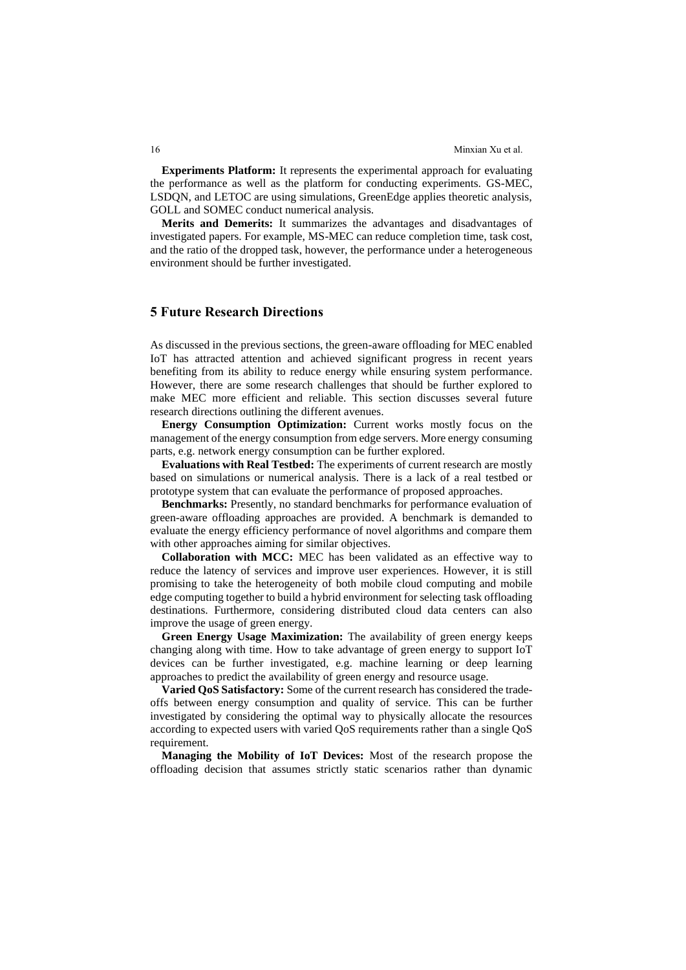**Experiments Platform:** It represents the experimental approach for evaluating the performance as well as the platform for conducting experiments. GS-MEC, LSDQN, and LETOC are using simulations, GreenEdge applies theoretic analysis, GOLL and SOMEC conduct numerical analysis.

**Merits and Demerits:** It summarizes the advantages and disadvantages of investigated papers. For example, MS-MEC can reduce completion time, task cost, and the ratio of the dropped task, however, the performance under a heterogeneous environment should be further investigated.

# **5 Future Research Directions**

As discussed in the previous sections, the green-aware offloading for MEC enabled IoT has attracted attention and achieved significant progress in recent years benefiting from its ability to reduce energy while ensuring system performance. However, there are some research challenges that should be further explored to make MEC more efficient and reliable. This section discusses several future research directions outlining the different avenues.

**Energy Consumption Optimization:** Current works mostly focus on the management of the energy consumption from edge servers. More energy consuming parts, e.g. network energy consumption can be further explored.

**Evaluations with Real Testbed:** The experiments of current research are mostly based on simulations or numerical analysis. There is a lack of a real testbed or prototype system that can evaluate the performance of proposed approaches.

**Benchmarks:** Presently, no standard benchmarks for performance evaluation of green-aware offloading approaches are provided. A benchmark is demanded to evaluate the energy efficiency performance of novel algorithms and compare them with other approaches aiming for similar objectives.

**Collaboration with MCC:** MEC has been validated as an effective way to reduce the latency of services and improve user experiences. However, it is still promising to take the heterogeneity of both mobile cloud computing and mobile edge computing together to build a hybrid environment for selecting task offloading destinations. Furthermore, considering distributed cloud data centers can also improve the usage of green energy.

**Green Energy Usage Maximization:** The availability of green energy keeps changing along with time. How to take advantage of green energy to support IoT devices can be further investigated, e.g. machine learning or deep learning approaches to predict the availability of green energy and resource usage.

**Varied QoS Satisfactory:** Some of the current research has considered the tradeoffs between energy consumption and quality of service. This can be further investigated by considering the optimal way to physically allocate the resources according to expected users with varied QoS requirements rather than a single QoS requirement.

**Managing the Mobility of IoT Devices:** Most of the research propose the offloading decision that assumes strictly static scenarios rather than dynamic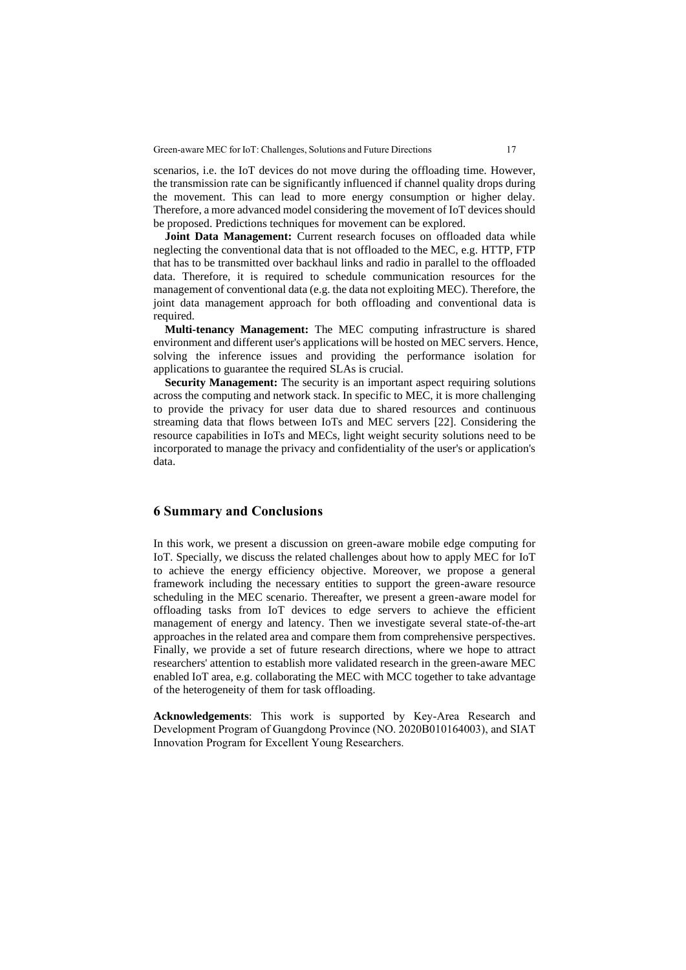scenarios, i.e. the IoT devices do not move during the offloading time. However, the transmission rate can be significantly influenced if channel quality drops during the movement. This can lead to more energy consumption or higher delay. Therefore, a more advanced model considering the movement of IoT devices should be proposed. Predictions techniques for movement can be explored.

**Joint Data Management:** Current research focuses on offloaded data while neglecting the conventional data that is not offloaded to the MEC, e.g. HTTP, FTP that has to be transmitted over backhaul links and radio in parallel to the offloaded data. Therefore, it is required to schedule communication resources for the management of conventional data (e.g. the data not exploiting MEC). Therefore, the joint data management approach for both offloading and conventional data is required.

**Multi-tenancy Management:** The MEC computing infrastructure is shared environment and different user's applications will be hosted on MEC servers. Hence, solving the inference issues and providing the performance isolation for applications to guarantee the required SLAs is crucial.

**Security Management:** The security is an important aspect requiring solutions across the computing and network stack. In specific to MEC, it is more challenging to provide the privacy for user data due to shared resources and continuous streaming data that flows between IoTs and MEC servers [22]. Considering the resource capabilities in IoTs and MECs, light weight security solutions need to be incorporated to manage the privacy and confidentiality of the user's or application's data.

# **6 Summary and Conclusions**

In this work, we present a discussion on green-aware mobile edge computing for IoT. Specially, we discuss the related challenges about how to apply MEC for IoT to achieve the energy efficiency objective. Moreover, we propose a general framework including the necessary entities to support the green-aware resource scheduling in the MEC scenario. Thereafter, we present a green-aware model for offloading tasks from IoT devices to edge servers to achieve the efficient management of energy and latency. Then we investigate several state-of-the-art approaches in the related area and compare them from comprehensive perspectives. Finally, we provide a set of future research directions, where we hope to attract researchers' attention to establish more validated research in the green-aware MEC enabled IoT area, e.g. collaborating the MEC with MCC together to take advantage of the heterogeneity of them for task offloading.

**Acknowledgements**: This work is supported by Key-Area Research and Development Program of Guangdong Province (NO. 2020B010164003), and SIAT Innovation Program for Excellent Young Researchers.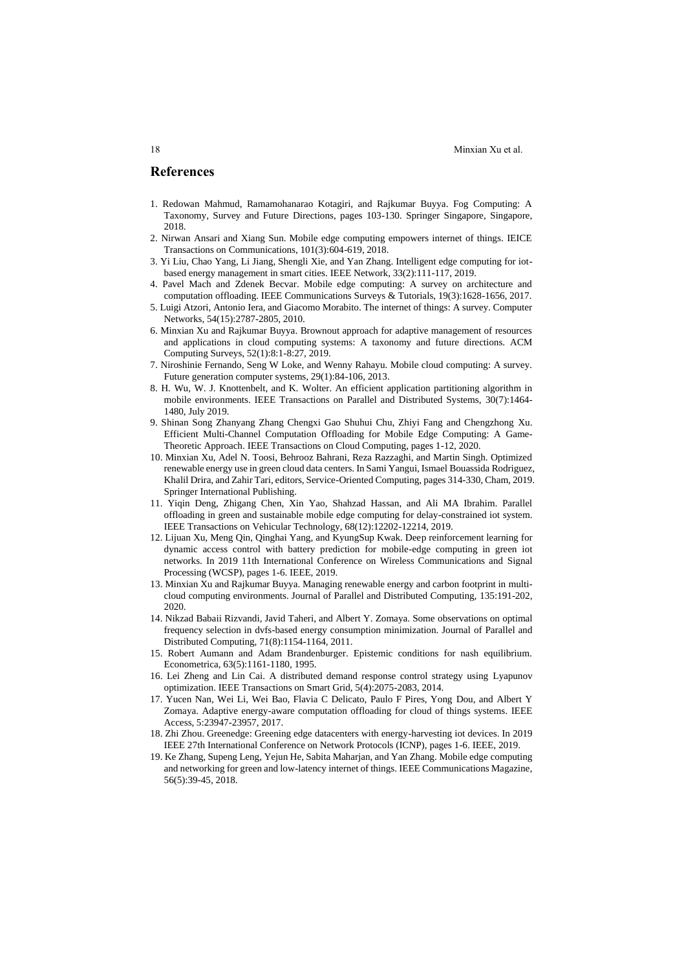#### **References**

- 1. Redowan Mahmud, Ramamohanarao Kotagiri, and Rajkumar Buyya. Fog Computing: A Taxonomy, Survey and Future Directions, pages 103-130. Springer Singapore, Singapore, 2018.
- 2. Nirwan Ansari and Xiang Sun. Mobile edge computing empowers internet of things. IEICE Transactions on Communications, 101(3):604-619, 2018.
- 3. Yi Liu, Chao Yang, Li Jiang, Shengli Xie, and Yan Zhang. Intelligent edge computing for iotbased energy management in smart cities. IEEE Network, 33(2):111-117, 2019.
- Pavel Mach and Zdenek Becvar. Mobile edge computing: A survey on architecture and computation offloading. IEEE Communications Surveys & Tutorials, 19(3):1628-1656, 2017.
- 5. Luigi Atzori, Antonio Iera, and Giacomo Morabito. The internet of things: A survey. Computer Networks, 54(15):2787-2805, 2010.
- 6. Minxian Xu and Rajkumar Buyya. Brownout approach for adaptive management of resources and applications in cloud computing systems: A taxonomy and future directions. ACM Computing Surveys, 52(1):8:1-8:27, 2019.
- 7. Niroshinie Fernando, Seng W Loke, and Wenny Rahayu. Mobile cloud computing: A survey. Future generation computer systems, 29(1):84-106, 2013.
- 8. H. Wu, W. J. Knottenbelt, and K. Wolter. An efficient application partitioning algorithm in mobile environments. IEEE Transactions on Parallel and Distributed Systems, 30(7):1464- 1480, July 2019.
- 9. Shinan Song Zhanyang Zhang Chengxi Gao Shuhui Chu, Zhiyi Fang and Chengzhong Xu. Efficient Multi-Channel Computation Offloading for Mobile Edge Computing: A Game-Theoretic Approach. IEEE Transactions on Cloud Computing, pages 1-12, 2020.
- 10. Minxian Xu, Adel N. Toosi, Behrooz Bahrani, Reza Razzaghi, and Martin Singh. Optimized renewable energy use in green cloud data centers. In Sami Yangui, Ismael Bouassida Rodriguez, Khalil Drira, and Zahir Tari, editors, Service-Oriented Computing, pages 314-330, Cham, 2019. Springer International Publishing.
- 11. Yiqin Deng, Zhigang Chen, Xin Yao, Shahzad Hassan, and Ali MA Ibrahim. Parallel offloading in green and sustainable mobile edge computing for delay-constrained iot system. IEEE Transactions on Vehicular Technology, 68(12):12202-12214, 2019.
- 12. Lijuan Xu, Meng Qin, Qinghai Yang, and KyungSup Kwak. Deep reinforcement learning for dynamic access control with battery prediction for mobile-edge computing in green iot networks. In 2019 11th International Conference on Wireless Communications and Signal Processing (WCSP), pages 1-6. IEEE, 2019.
- 13. Minxian Xu and Rajkumar Buyya. Managing renewable energy and carbon footprint in multicloud computing environments. Journal of Parallel and Distributed Computing, 135:191-202, 2020.
- 14. Nikzad Babaii Rizvandi, Javid Taheri, and Albert Y. Zomaya. Some observations on optimal frequency selection in dvfs-based energy consumption minimization. Journal of Parallel and Distributed Computing, 71(8):1154-1164, 2011.
- 15. Robert Aumann and Adam Brandenburger. Epistemic conditions for nash equilibrium. Econometrica, 63(5):1161-1180, 1995.
- 16. Lei Zheng and Lin Cai. A distributed demand response control strategy using Lyapunov optimization. IEEE Transactions on Smart Grid, 5(4):2075-2083, 2014.
- 17. Yucen Nan, Wei Li, Wei Bao, Flavia C Delicato, Paulo F Pires, Yong Dou, and Albert Y Zomaya. Adaptive energy-aware computation offloading for cloud of things systems. IEEE Access, 5:23947-23957, 2017.
- 18. Zhi Zhou. Greenedge: Greening edge datacenters with energy-harvesting iot devices. In 2019 IEEE 27th International Conference on Network Protocols (ICNP), pages 1-6. IEEE, 2019.
- 19. Ke Zhang, Supeng Leng, Yejun He, Sabita Maharjan, and Yan Zhang. Mobile edge computing and networking for green and low-latency internet of things. IEEE Communications Magazine, 56(5):39-45, 2018.